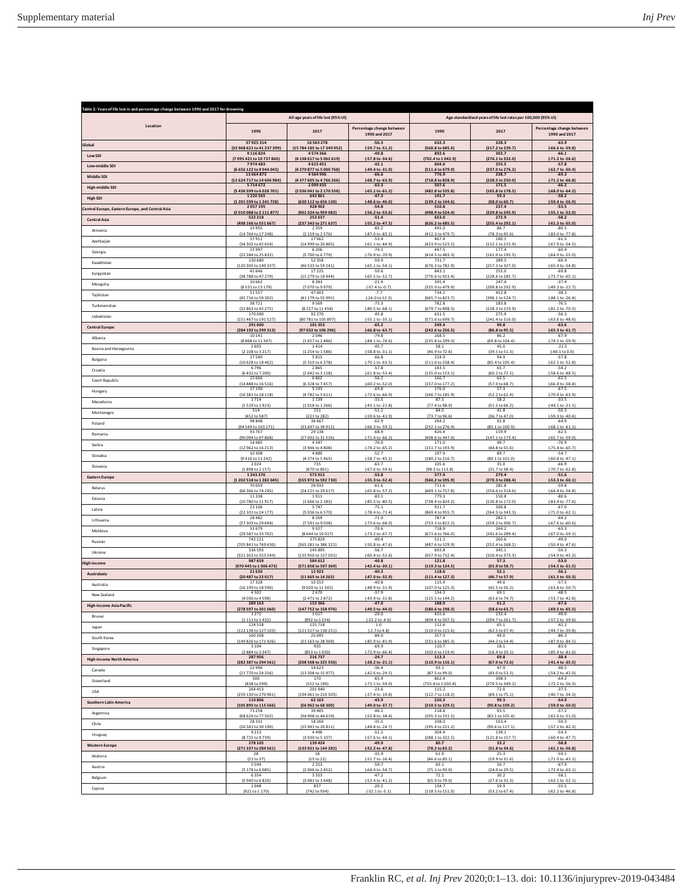| Table 2: Years of life lost in and percentage change between 1990 and 2017 for drowning |                                       |                                       |                                                 |                                                                |                              |                                                            |  |
|-----------------------------------------------------------------------------------------|---------------------------------------|---------------------------------------|-------------------------------------------------|----------------------------------------------------------------|------------------------------|------------------------------------------------------------|--|
|                                                                                         | All-age years of life lost (95% UI)   |                                       |                                                 | Age-standardised years of life lost rates per 100,000 (95% UI) |                              |                                                            |  |
| Location                                                                                | 1990                                  | 2017                                  | Percentage change between<br>1990 and 2017      | 1990                                                           | 2017                         | Percentage change between<br>1990 and 2017                 |  |
| Global                                                                                  | 37925314                              | 16563278                              | $-56.3$                                         | 632.3                                                          | 228.3                        | $-63.9$                                                    |  |
| Low SDI                                                                                 | (33 968 621 to 41 237 399)<br>9116824 | (15 784 185 to 17 349 952)<br>4574366 | $[-59.7 \text{ to } -51.2]$<br>$-49.8$          | (568.8 to 685.6<br>892.6                                       | (21)<br>.2 to 239.7<br>302.7 | $(-66.6 \text{ to } -59.8)$<br>$-66.1$                     |  |
| Low-middle SD                                                                           | (7 095 421 to 10 737 860)             | (4 138 617 to 5 062 619)              | (-57.8 to -34.6)                                | (702.4 to 1 042.9)                                             | (276.1 to 332.0)             | (-71.2 to -56.6)                                           |  |
|                                                                                         | 7974483                               | 4615451                               | $-42.1$                                         | 604.6                                                          | 255.5                        | $-57.8$                                                    |  |
| Middle SDI                                                                              | (6 656 122 to 9 044 043)              | (4 270 877 to 5 000 768)              | (-49.4 to -31.0)                                | (511.6 to 679.9                                                | (237.0 to 276.2)             | (-62.7 to -50.4)                                           |  |
|                                                                                         | 13 664 873                            | 4564996                               | $-66.6$                                         | 776.9                                                          | 238.7                        | $-69.3$                                                    |  |
| High-middle SDI                                                                         | (12 624 717 to 14 606 984)            | (4 377 605 to 4 766 266)              | $(-68.7 to -63.9)$                              | (718.8 to 828.9)                                               | (228.5 to 250.0)             | $(-71.2 \text{ to } -66.8)$                                |  |
|                                                                                         | 5714672                               | 2099435                               | $-63.3$                                         | 507.6                                                          | 171.5                        | $-66.2$                                                    |  |
| <b>High SDI</b>                                                                         | (5 436 599 to 6 028 701)              | (2036 041 to 2170 556)                | $(-65.1 to -61.2)$                              | (482.8 to 535.8)                                               | (165.8 to 178.5)             | (-68.0 to -64.2)                                           |  |
|                                                                                         | 1220565                               | 642 861                               | $-47.3$                                         | 141.7                                                          | 59.3                         | $-58.2$                                                    |  |
| Central Europe, Eastern Europe, and Central Asia                                        | (1201599 to 1241728)                  | (630 112 to 656 130)                  | $(-48.6 \text{ to } -46.0)$                     | (139.2 to 144.6)                                               | (58.0 to 60.7)               | (-59.4 to -56.9)                                           |  |
|                                                                                         | 2057195                               | 928 902                               | $-54.8$                                         | 510.8                                                          | 237.4                        | $-53.5$                                                    |  |
| <b>Central Asia</b>                                                                     | (2010088 to 2111877)                  | (901 524 to 959 082)                  | (-56.2 to -53.6)                                | (498.9 to 524.4)                                               | (229.8 to 245.9)             | (-55.1 to -52.0)                                           |  |
|                                                                                         | 522 218                               | 253 637                               | $-51.4$                                         | 653.0                                                          | 272.9                        | $-58.2$                                                    |  |
| Armenia                                                                                 | (498 166 to 551 667)                  | (237 343 to 271 637)                  | (-55.2 to -47.5)                                | (626.2 to 685.5                                                | (255.4 to 292.1)             | $(-61.3 to -55.0)$                                         |  |
|                                                                                         | 15 9 55                               | 2 3 5 9                               | $-85.2$                                         | 445.0                                                          | 86.7                         | $-80.5$                                                    |  |
| Azerbaijan                                                                              | (14 764 to 17 248)                    | (2 159 to 2 576)                      | (-87.0 to -83.2)                                | (412.3 to 479.7)                                               | (78.3 to 95.6)               | (-83.0 to -77.8)                                           |  |
|                                                                                         | 37911                                 | 17662                                 | $-53.4$                                         | 467.4                                                          | 180.1                        | $-61.5$                                                    |  |
| Georgia                                                                                 | (34 302 to 42 654)                    | (14 999 to 20 865)                    | $(-61.1 to -44.9)$                              | (423.9 to 523.5)                                               | (152.1 to 215.9)             | (-67.9 to -54.5)                                           |  |
|                                                                                         | 23 9 9 7                              | 6 2 0 6                               | $-74.1$                                         | 447.5                                                          | 177.4                        | $-60.4$                                                    |  |
| Kazakhstan                                                                              | (22 284 to 25 832)                    | (5 700 to 6 779)                      | (-76.9 to -70.9)                                | (414.5 to 483.3)                                               | (161.0 to 195.5)             | (-64.9 to -55.0)                                           |  |
|                                                                                         | 130 680                               | 52358                                 | $-59.9$                                         | 731.7                                                          | 289.5                        | $-60.4$                                                    |  |
| Kyrgyzstan                                                                              | (120 305 to 140 337)                  | (46 533 to 59 241)                    | $(-65.1 to -54.1)$                              | (676.3 to 782.9                                                | (257.3 to 327.0)             | (-65.4 to -54.8)                                           |  |
|                                                                                         | 42 646                                | 17225                                 | $-59.6$                                         | 843.1                                                          | 255.0                        | $-69.8$                                                    |  |
| Mongolia                                                                                | (38 788 to 47 279)                    | (15 279 to 19 444)                    | (-65.5 to -52.7)                                | (776.6 to 923.4)                                               | (228.6 to 285.7)             | $(-73.7)$ to $-65.1$                                       |  |
|                                                                                         | 10 6 62                               | 8383                                  | $-21.4$                                         | 395.4                                                          | 247.4                        | $-37.4$                                                    |  |
| Tajikistan                                                                              | (8 531 to 13 179)                     | (7 070 to 9 979)                      | $(-37.4 to -0.7)$                               | (325.9 to 479.9)                                               | (209.8 to 292.9)             | (-49.2 to -22.7)                                           |  |
|                                                                                         | 51 5 5 7                              | 47603                                 | $-7.7$                                          | 734.2                                                          | 452.8                        | $-38.3$                                                    |  |
| Turkmenistan                                                                            | (45 716 to 59 302)                    | (41 179 to 55 991)                    | $[-24.0 \text{ to } 12.3]$                      | (665.7 to 823.7                                                | (396.1 to 524.7)             | $(-48.1 to -26.4)$                                         |  |
|                                                                                         | 38721                                 | 9569                                  | $-75.3$                                         | 782.8                                                          | 183.8                        | $-76.5$                                                    |  |
| Uzbekistan                                                                              | (32 863 to 45 275)                    | (8227 to 11458)                       | (-80.5 to -68.1)                                | (679.7 to 898.3)                                               | (158.3 to 219.9)             | (-81.2 to -70.3)                                           |  |
|                                                                                         | 170090                                | 92 2 7 0                              | $-45.8$                                         | 631.5                                                          | 275.9                        | $-56.3$                                                    |  |
| <b>Central Europe</b>                                                                   | (151 467 to 191 527)                  | (80 781 to 105 897)                   | $(-55.1 to -35.1)$                              | (571.6 to 699.7)                                               | (241.4 to 316.0)             | $(-63.6$ to $-48.6)$                                       |  |
|                                                                                         | 291600                                | 101 353                               | $-65.2$                                         | 249.4                                                          | 90.8                         | $-63.6$                                                    |  |
| Albania                                                                                 | (284 192 to 299 313)                  | (97 032 to 106 296)                   | (-66.8 to -63.7)                                | (242.6 to 256.5)                                               | (86.8 to 95.5)               | (-65.3 to -61.7)                                           |  |
|                                                                                         | 10 14 1                               | 2046                                  | $-79.8$                                         | 268.5                                                          | 86.2                         | $-67.9$                                                    |  |
| Bosnia and Herzegovina                                                                  | (8 868 to 11 347)                     | (1657 to 2486)                        | $(-84.1 to -74.6)$                              | (235.8 to 299.3)                                               | (69.8 to 104.4)              | $(-74.5 to -59.9)$                                         |  |
|                                                                                         | 2605                                  | 1414                                  | $-45.7$                                         | 58.1                                                           | 45.0                         | $-22.5$                                                    |  |
| Bulgaria                                                                                | (2 108 to 3 217                       | (1 254 to 1 586                       | (-58.8 to -31.1)                                | (46.9 to 72.6                                                  | (39.5 to 51.3)               | $(-40.1 to 0.0)$                                           |  |
|                                                                                         | 17540                                 | 5815                                  | $-66.8$                                         | 224.9                                                          | 94.9                         | $-57.8$                                                    |  |
| Croatia                                                                                 | (16 628 to 18 462)                    | (5 310 to 6 378)                      | $(-70.1 to -63.5)$                              | (211.6 to 238.4)                                               | (85.4 to 105.4)              | (-62.5 to -52.8)                                           |  |
|                                                                                         | 6796                                  | 2865                                  | $-57.8$                                         | 143.5                                                          | 65.7                         | $-54.2$                                                    |  |
| Czech Republic                                                                          | (6432 to 7 200)                       | (2642 to 3118)                        | $(-61.8 to -53.4)$                              | (135.0 to 153.1)                                               | (60.2 to 72.5)               | (-58.6 to -48.5)                                           |  |
|                                                                                         | 15 6 6 6                              | 6862                                  | $-56.2$                                         | 166.7                                                          | 62.5                         | $-62.5$                                                    |  |
| Hungary                                                                                 | (14 888 to 16 516)                    | (6 328 to 7 457)                      | $(-60.2$ to $-52.0)$                            | (157.0 to 177.2)                                               | (57.0 to 68.7)               | $(-66.4 to -58.4)$                                         |  |
|                                                                                         | 17 19 0                               | 5 1 9 3                               | $-69.8$                                         | 176.0                                                          | 57.3                         | $-67.5$                                                    |  |
| Macedonia                                                                               | (16 381 to 18 118)                    | (4782 to 5611                         | $[-72.6 \text{ to } -66.9]$                     | (166.7 to 185.9)                                               | (52.2 to 62.4)               | (-70.9 to -63.9)                                           |  |
|                                                                                         | 1714                                  | 1139                                  | $-33.5$                                         | 87.5                                                           | 58.2                         | $-33.5$                                                    |  |
| Montenegro                                                                              | (1519 to 1923                         | (1018 to 1266)                        | $(-43.1 to -21.8)$                              | (77.4 to 98.9)                                                 | (51.5 to 66.2)               | $(-44.1 to -21.1)$                                         |  |
|                                                                                         | 514                                   | 251                                   | $-51.2$                                         | 84.0                                                           | 41.8                         | $-50.3$                                                    |  |
| Poland                                                                                  | (452 to 587)                          | (221 to 282)                          | (-59.6 to -41.9)                                | (73.7 to 96.6)                                                 | (36.7 to 47.0)               | $(-59.3$ to $-40.4)$                                       |  |
|                                                                                         | 98 8 4 8                              | 36 667                                | $-62.9$                                         | 264.2                                                          | 92.8                         | $-64.9$                                                    |  |
| Romania                                                                                 | (94)<br>549 to 103 271<br>93 76 7     | 697 to 39 91<br>29 13 8               | -66.3 to -59.2<br>$-68.9$                       | (252.1 to 276.<br>426.4                                        | (85)<br>.1 to 100.9<br>159.9 | $(-68.1 to -61.1$<br>$-62.5$                               |  |
| Serbia                                                                                  | (90 094 to 97 868)                    | (27 002 to 31 526                     | $(-71.4 \text{ to } -66.2)$                     | (408.6 to 447.0)                                               | (147.1 to 173.4)             | (-65.7 to -59.0)                                           |  |
|                                                                                         | 14 4 8 5                              | 4347                                  | $-70.0$                                         | 171.0                                                          | 49.7                         | $-70.9$                                                    |  |
| Slovakia                                                                                | (12 962 to 16 213)                    | (3 946 to 4 808)                      | (-74.2 to -65.2)                                | (151.7 to 193.9)                                               | (44.8 to 55.6)               | $(-75.4 \text{ to } -65.7)$                                |  |
|                                                                                         | 10 30 8                               | 4880                                  | $-52.7$                                         | 197.9                                                          | 89.7                         | $-54.7$                                                    |  |
| Slovenia                                                                                | (9 416 to 11 242)                     | (4374 to 5465)                        | $(-58.7 to -45.2)$                              | (180.2 to 216.7)                                               | (80.1 to 101.0)              | $(-60.8$ to $-47.1)$                                       |  |
|                                                                                         | 2024                                  | 735                                   | $-63.7$                                         | 105.6                                                          | 35.0                         | $-66.9$                                                    |  |
| Eastern Europe                                                                          | (1898 to 2157)                        | (670 to 801)                          | $(-67.6 \text{ to } -59.6)$                     | (98.5 to 113.8)                                                | (31.7 to 38.4)               | (-70.7 to -62.8)                                           |  |
|                                                                                         | 1243376                               | 573 912                               | $-53.8$                                         | 577.9                                                          | 279.4                        | $-51.6$                                                    |  |
| Belarus                                                                                 | (1202 518 to 1282 045)                | (555 972 to 592 730)                  | (-55.3 to -52.4)                                | (560.2 to 595.9                                                | (270.3 to 288.4)             | (-53.3 to -50.1)                                           |  |
|                                                                                         | 70059                                 | 26933                                 | $-61.6$                                         | 711.6                                                          | 285.8                        | $-59.8$                                                    |  |
| Estonia                                                                                 | (66 366 to 74 245)                    | (24 221 to 29 617)                    | $(-65.8 to -57.2)$                              | (669.1 to 757.8)                                               | (254.6 to 314.6)             | $(-64.4 to -54.8)$                                         |  |
|                                                                                         | 11338                                 | 1911                                  | $-83.1$                                         | 779.3                                                          | 150.8                        | $-80.6$                                                    |  |
| Latvia                                                                                  | (10780 to 11917)                      | (1666 to 2183                         | $(-85.5 to -80.5)$                              | (738.4 to 824.2)                                               | (130.8 to 172.0)             | $(-83.4 \text{ to } -77.6)$                                |  |
|                                                                                         | 23 106                                | 5747                                  | $-75.1$                                         | 911.7                                                          | 300.8                        | $-67.0$                                                    |  |
| Lithuania                                                                               | (22 101 to 24 177)                    | (5 036 to 6 570)                      | $(-78.4$ to $-71.4$                             | (869.4 to 955.7)                                               | (264.5 to 343.3)             | $(-71.0 to -62.1)$                                         |  |
|                                                                                         | 28 4 8 2                              | 8 2 6 9                               | $-71.0$                                         | 787.4                                                          | 282.1                        | $-64.2$                                                    |  |
| Moldova                                                                                 | (27 303 to 29 694)                    | (7 591 to 9 038)                      | $(-73.6 \text{ to } -68.0)$                     | (753.3 to 822.2)                                               | (259.2 to 306.7)             | (-67.6 to -60.6)                                           |  |
|                                                                                         | 31679                                 | 9327                                  | $-70.6$                                         | 718.9                                                          | 264.2                        | $-63.3$                                                    |  |
| Russian                                                                                 | (29 587 to 33 702)                    | (8644 to 10017)                       | $(-73.2 \text{ to } -67.7)$                     | (671.6 to 766.0)                                               | (241.6 to 289.4)             | $(-67.0 to -59.1)$                                         |  |
|                                                                                         | 742121                                | 375 829                               | $-49.4$                                         | 511.1                                                          | 260.6                        | $-49.0$                                                    |  |
| Ukraine                                                                                 | (705 841 to 769 630)                  | (365 281 to 386 322                   | $(-50.8 \text{ to } -47.6)$                     | (487.6 to 529.9)                                               | (252.4 to 268.2)             | (-50.4 to -47.6)                                           |  |
|                                                                                         | 336593                                | 145 895                               | $-56.7$                                         | 693.8                                                          | 345.1                        | $-50.3$                                                    |  |
| ligh-income                                                                             | (321 363 to 353 594)                  | (135 950 to 157 031)                  | $(-60.4 to -52.6)$                              | (657.9 to 732.4)                                               | (320.4 to 373.3)             | (-54.9 to -45.2)                                           |  |
|                                                                                         | 987659                                | 584 612                               | $-40.8$                                         | 121.8                                                          | 57.3                         | $-53.0$                                                    |  |
| Australasia                                                                             | (970 445 to 1 006 473)<br>21 630      | (571 858 to 597 369)<br>12923         | (-42.4 to -39.1)<br>$-40.3$<br>(-47.0 to -32.9) | (119.3 to 124.5)<br>118.6<br>(111.4 to 127.3)                  | (55.9 to 58.7)<br>52.1       | (-54.5 to -51.5)<br>$-56.1$                                |  |
| Australia                                                                               | (20 487 to 23 017)<br>17328           | (11 665 to 14 263)<br>10253           | $-40.8$                                         | 115.4                                                          | (46.7 to 57.9)<br>49.0       | (-61.5 to -50.3)<br>$-57.5$                                |  |
| New Zealand                                                                             | (16 199 to 18 590)                    | (9020 to 11565)                       | (-48.9 to -31.9)                                | (107.0 to 125.3)                                               | (42.5 to 56.2)               | (-63.8 to -50.7)                                           |  |
|                                                                                         | 4302                                  | 2670                                  | $-37.9$                                         | 134.3                                                          | 69.1                         | $-48.5$                                                    |  |
|                                                                                         | (4036 to 4598)                        | (2471 to 2872                         | $(-43.9 to -31.8)$                              | (125.5 to 144.2)                                               | (63.6 to 74.7)               | (-53.7 to -42.8)                                           |  |
| <b>High-income Asia-Pacific</b>                                                         | 289 163                               | 153 366                               | $-47.0$                                         | 188.9                                                          | 61.2                         | $-67.6$                                                    |  |
|                                                                                         | 597 to 301 060                        | 752 to 158 976                        | 49.5 to -44.0                                   | 80.6 to 198.3                                                  | $8.6 \text{ to } 63.71$      | $(-69.5 \text{ to } -65.5)$                                |  |
| Brunei                                                                                  | 1272                                  | 1017                                  | $-20.0$                                         | 455.6                                                          | 232.4                        | $-49.0$                                                    |  |
|                                                                                         | (1111101432)                          | (892 to 1 154)                        | $(-33.2 \text{ to } -4.6)$                      | (404.4 to 507.5)                                               | (204.7 to 261.7)             | $(-57.1 to -39.6)$                                         |  |
| Japan                                                                                   | 124518                                | 125 718                               | 1.0                                             | 112.6                                                          | 65.1                         | $-42.2$                                                    |  |
|                                                                                         | (122 138 to 127 103)                  | (121 517 to 130 251)                  | $(-2.7 \text{ to } 4.8)$                        | (110.0 to 115.6)                                               | (62.5 to 67.4)               | (-44.7 to -39.8)                                           |  |
| South Korea                                                                             | 160 268                               | 25 6 9 5                              | $-84.0$                                         | 357.3                                                          | 49.0                         | $-86.3$                                                    |  |
|                                                                                         | (149 826 to 171 426)                  | (23 163 to 28 369)                    | (-85.9 to -81.9)                                | (331.6 to 385.3)                                               | (44.2 to 54.4)               | (-87.9 to -84.5)                                           |  |
| Singapore                                                                               | 3104                                  | 935                                   | $-69.9$                                         | 110.7                                                          | 18.1                         | $-83.6$                                                    |  |
|                                                                                         | (2884 to 3347)                        | (853 to 1.030)                        | $(-72.9 to -66.4)$                              | (102.6 to 119.4)                                               | $(16.4 + 0.20.1)$            | $(-85.4 to -81.6)$                                         |  |
| <b>High-income North America</b>                                                        | 287956<br>(282 387 to 294 561)        | 216 737<br>(208 568 to 225 556)       | $-24.7$<br>$(-28.2 \text{ to } -21.1)$          | 113.3                                                          | 69.8<br>(67.0 to 72.6)       | $-38.4$                                                    |  |
| Canada                                                                                  | 22 9 9 6<br>(21 770 to 24 256)        | 14623<br>(13 308 to 15 977)           | $-36.4$<br>$(-42.6 \text{ to } -29.5)$          | (110.9 to 116.1)<br>93.1<br>(87.5 to 99.0)                     | 47.9<br>(43.0 to 53.2)       | $(-41.4 \text{ to } -35.5)$<br>$-48.5$<br>(-54.2 to -42.0) |  |
| Greenland                                                                               | 500                                   | 170                                   | $-65.9$                                         | 862.4                                                          | 308.3                        | $-64.2$                                                    |  |
|                                                                                         | (438 to 599)                          | (152 to 190)                          | (-73.1 to -59.0)                                | (755.4 to 1030.8)                                              | (270.5 to 349.2)             | $(-72.2 \text{ to } -56.3)$                                |  |
| USA                                                                                     | 264453                                | 201940                                | $-23.6$                                         | 115.2                                                          | 72.0                         | $-37.5$                                                    |  |
|                                                                                         | (259 130 to 270 961)                  | (194 061 to 210 503)                  | $(-27.4 \text{ to } -19.8)$                     | (112.7 to 118.2)                                               | (69.1 to 75.1)               | (-40.7 to -34.3)                                           |  |
| <b>Southern Latin America</b>                                                           | 110 806                               | 62 163                                | $-43.9$                                         | 220.3                                                          | 99.3                         | $-54.9$                                                    |  |
|                                                                                         | (105 895 to 115 566)                  | (56 962 to 68 300)                    | (-49.0 to -37.7)                                | (210.5 to 229.5)                                               | (90.8 to 109.2)              | (-59.0 to -50.0)                                           |  |
| Argentina                                                                               | 73 258                                | 39 4 0 5                              | $-46.2$                                         | 218.8                                                          | 93.5                         | $-57.2$                                                    |  |
|                                                                                         | (68 626 to 77 502)                    | (34 908 to 44 619)                    | $(-52.8 \text{ to } -38.4)$                     | (205.3 to 231.5)                                               | (83.1 to 105.4)              | $(-62.6 \text{ to } -51.0)$                                |  |
| Chile                                                                                   | 28 3 3 1                              | 18260                                 | $-35.5$                                         | 208.0                                                          | 103.4                        | $-50.3$                                                    |  |
|                                                                                         | (26 581 to 30 190)                    | (15 941 to 20 811)                    | $(-44.8 to -24.7)$                              | (195.4 to 221.2)                                               | (90.6 to 117.1)              | (-57.2 to -42.3)                                           |  |
| Uruguay                                                                                 | 9213                                  | 4496                                  | $-51.2$                                         | 304.4                                                          | 139.1                        | $-54.3$                                                    |  |
|                                                                                         | (8725 to 9739)                        | (3 930 to 5 107)                      | $(-57.6 \text{ to } -44.1)$                     | (288.1 to 322.5)                                               | (121.8 to 157.7)             | $(-60.4 \text{ to } -47.7)$                                |  |
| <b>Western Europe</b>                                                                   | 278 105                               | 139 424                               | $-49.9$                                         | 80.7                                                           | 33.2                         | $-58.8$                                                    |  |
|                                                                                         | (271 337 to 284 561)                  | (133 921 to 144 282)                  | (-52.2 to -47.8)                                | (78.2 to 83.2)                                                 | (31.8 to 34.6)               | $(-61.1 to -56.8)$                                         |  |
| Andorra                                                                                 | 28                                    | 18                                    | $-35.9$                                         | 61.9                                                           | 25.3                         | $-59.1$                                                    |  |
|                                                                                         | (21 to 37)                            | (15 to 22)                            | $(-51.7 to -16.4)$                              | (46.6 to 83.1)                                                 | (19.9 to 31.6)               | (-71.0 to -43.1                                            |  |
| Austria                                                                                 | 5594                                  | 2 2 5 3                               | $-59.7$                                         | 83.1                                                           | 26.7                         | $-67.9$                                                    |  |
|                                                                                         | (5178 to 6085)                        | (2 066 to 2 452)                      | $(-64.4 to -54.7)$                              | (75.1 to 93.0)                                                 | (24.0 to 29.5)               | $(-72.4 \text{ to } -63.1)$                                |  |
| Belgium                                                                                 | 6354                                  | 3353                                  | $-47.2$                                         | 72.1                                                           | 30.2                         | $-58.1$                                                    |  |
|                                                                                         | (5940 to 6820                         | (3 081 to 3 648                       | (-52.4 to -41.2                                 | (65.9 to 79.0)                                                 | (27.6 to 33.3)               | $(-63.1$ to $-52.$                                         |  |
| Cyprus                                                                                  | 1048                                  | 837                                   | $-20.2$                                         | 134.7                                                          | 59.9                         | $-55.5$                                                    |  |
|                                                                                         | (921 to 1 170)                        | (742 to 934)                          | $(-32.1 \text{ to } -5.1)$                      | (118.5 to 151.0)                                               | (53.2 to 67.4)               | $(-62.2 \text{ to } -46.8)$                                |  |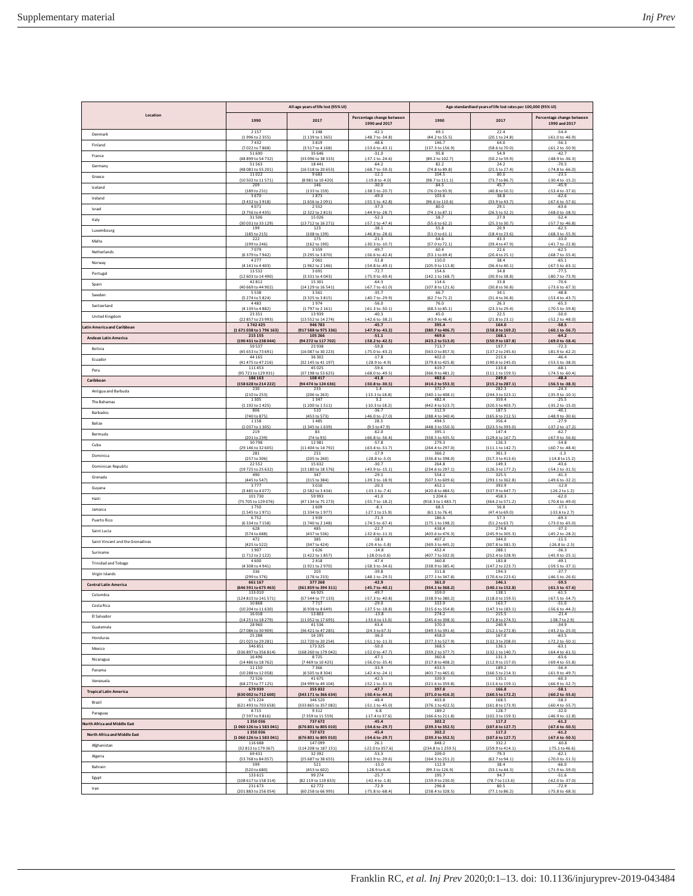| Location                            | All-age years of life lost (95% UI) |                                   |                                            | Age-standardised years of life lost rates per 100,000 (95% UI) |                                    |                                            |  |
|-------------------------------------|-------------------------------------|-----------------------------------|--------------------------------------------|----------------------------------------------------------------|------------------------------------|--------------------------------------------|--|
|                                     | 1990                                | 2017                              | Percentage change between<br>1990 and 2017 | 1990                                                           | 2017                               | Percentage change between<br>1990 and 2017 |  |
| Denmark                             | 2 1 5 7                             | 1248                              | $-42.1$                                    | 49.1                                                           | 22.4                               | $-54.4$                                    |  |
|                                     | (1996 to 2355)                      | (1 139 to 1 365)                  | (-48.7 to -34.8)                           | (44.2 to 55.5)                                                 | (20.1 to 24.8)                     | $(-61.0 to -46.9)$                         |  |
| Finland                             | 7432                                | 3819                              | $-48.6$                                    | 146.7                                                          | 64.0                               | $-56.3$                                    |  |
|                                     | (7022 to 7868)                      | (3517 to 4168)                    | (-53.6 to -43.1)                           | (137.3 to 156.9)                                               | (58.6 to 70.0)                     | $(-61.2 to -50.9)$                         |  |
| France                              | 51 690                              | 35 6 46                           | $-31.0$                                    | 95.8                                                           | 54.9                               | $-42.7$                                    |  |
|                                     | (48 899 to 54 732)                  | (33 096 to 38 333)                | $(-37.1 to -24.6)$                         | (89.2 to 102.7)                                                | (50.2 to 59.9)                     | (-48.9 to -36.3)                           |  |
| Germany                             | 51 563                              | 18441                             | $-64.2$                                    | 82.2                                                           | 24.2                               | $-70.5$                                    |  |
|                                     | (48 081 to 55 201)                  | (16 518 to 20 653)                | (-68.7 to -59.3)                           | (74.8 to 89.8)                                                 | (21.5 to 27.4)                     | $(-74.8 \text{ to } -66.0)$                |  |
| Greece                              | 11022                               | 9683                              | $-12.1$                                    | 104.5                                                          | 80.0                               | $-23.5$                                    |  |
|                                     | (10 502 to 11 571)                  | (8981 to 10420)                   | $[-19.8 \text{ to } -4.0]$                 | (98.7 to 111.1)                                                | (73.7 to 86.7                      | $1-30.4$ to $-15.2$                        |  |
| Iceland                             | 209                                 | 146                               | $-30.0$                                    | 84.5                                                           | 45.7                               | $-45.9$                                    |  |
|                                     | (189 to 231)                        | (133 to 159)                      | $(-38.5 to -20.7)$                         | (76.0 to 93.9)                                                 | (40.8 to 50.5)                     | $(-53.4 to -37.6)$                         |  |
| Ireland                             | 3670                                | 1873                              | $-49.0$                                    | 103.6                                                          | 38.8                               | $-62.6$                                    |  |
|                                     | (3432 to 3918)                      | (1656 to 2091                     | (-55.5 to -42.8)                           | (96.6 to 110.6)                                                | (33.9 to 43.7)                     | $(-67.6 \text{ to } -57.6)$                |  |
| Israel                              | 4071                                | 2552                              | $-37.3$                                    | 80.0                                                           | 29.1                               | $-63.6$                                    |  |
|                                     | (3756 to 4435)                      | (2 322 to 2 813)                  | (-44.9 to -28.7)                           | (74.1 to 87.1)                                                 | (26.5 to 32.2)                     | (-68.0 to -58.5)                           |  |
| Italy                               | 31506                               | 15026                             | $-52.3$                                    | 58.7                                                           | 27.9                               | $-52.4$                                    |  |
| Luxembourg                          | (30 031 to 33 129)                  | (13 712 to 16 271)                | $(-57.1 to -47.4)$                         | (55.6 to 62.2)                                                 | (25.3 to 30.7)                     | (-57.7 to -46.8)                           |  |
|                                     | 199                                 | 123                               | $-38.1$                                    | 55.8                                                           | 20.9                               | $-62.5$                                    |  |
| Malta                               | (185 to 215)                        | (108 to 139)                      | $(-46.8 to -28.6)$                         | (51.0 to 61.1)                                                 | (18.4 to 23.6)                     | (-68.3 to -55.9)                           |  |
|                                     | 222                                 | 175                               | $-21.3$                                    | 64.6                                                           | 43.3                               | $-33.0$                                    |  |
| Netherlands                         | (199 to 246)                        | (162 to 190)                      | (-30.3 to -10.7)                           | (57.0 to 72.1)                                                 | (39.4 to 47.9)                     | (-41.7 to -22.8)                           |  |
|                                     | 7079                                | 3559                              | $-49.7$                                    | 60.4                                                           | 22.6                               | $-62.5$                                    |  |
| Norway                              | (6379 to 7942)                      | (3 295 to 3 870)                  | (-56.6 to -42.4)                           | (53.1 to 69.4)                                                 | (20.4 to 25.1)                     | (-68.7 to -55.4)                           |  |
|                                     | 4277                                | 2061                              | $-51.8$                                    | 110.0                                                          | 38.4                               | $-65.1$                                    |  |
| Portugal                            | (4 141 to 4 403)                    | (1962 to 2146)                    | $(-54.8 to -49.1)$                         | (105.9 to 113.8)                                               | (36.4 to 40.1)                     | $(-67.5 to -63.1)$                         |  |
|                                     | 13532                               | 3691                              | $-72.7$                                    | 154.6                                                          | 34.8                               | $-77.5$                                    |  |
| Spain                               | (12 603 to 14 490)                  | (3 331 to 4 043)                  | (-75.9 to -69.4)                           | (142.1 to 168.7)                                               | (30.9 to 38.8)                     | (-80.7 to -73.9)                           |  |
|                                     | 42812                               | 15301                             | $-64.3$                                    | 114.6                                                          | 33.8                               | $-70.6$                                    |  |
|                                     | (40 669 to 44 902)                  | (14 129 to 16 541)                | $(-67.7 to -61.0)$                         | (107.8 to 121.6)                                               | (30.8 to 36.8)                     | (-73.6 to -67.3)                           |  |
|                                     | 5538                                | 3561                              | $-35.7$                                    | 66.7                                                           | 34.1                               | $-48.8$                                    |  |
| Sweden                              | (5 274 to 5 824)                    | (3 325 to 3 815)                  | (-40.7 to -29.9)                           | (62.7 to 71.2)                                                 | (31.4 to 36.8                      | (-53.4 to -43.7                            |  |
|                                     | 4483                                | 1974                              | $-56.0$                                    | 76.0                                                           | 26.3                               | $-65.3$                                    |  |
| Switzerland                         | (4 139 to 4 882)                    | (1797 to 2161)                    | (-61.3 to -50.1)                           | (68.5 to 85.1)                                                 | (23.3 to 29.4)                     | (-70.5 to -59.8)                           |  |
|                                     | 23 3 5 1                            | 13939                             | $-40.3$                                    | 45.0                                                           | 22.5                               | $-50.0$                                    |  |
| United Kingdom                      | (22 857 to 23 993                   | (13 552 to 14 274)                | $(-42.6 \text{ to } -38.2)$                | (43.9 to 46.4)                                                 | (21.8 to 23.1)                     | $(-52.2$ to $-48.0)$                       |  |
|                                     | 1742425                             | 946 783                           | $-45.7$                                    | 395.4                                                          | 164.0                              | $-58.5$                                    |  |
| atin America and Caribbean          | (1671038 to 1796 163)               | (917 588 to 975 336)              | (-47.9 to -43.2)                           | (380.7 to 406.7)                                               | (158.8 to 169.2)                   | (-60.1 to -56.7                            |  |
|                                     | 215 155                             | 105 266                           | $-51.1$                                    | 469.6                                                          | 168.1                              | $-64.2$                                    |  |
| <b>Andean Latin America</b>         | (190 431 to 238 044)                | (94 272 to 117 702)               | (-58.2 to -42.5)                           | (423.2 to 513.0)                                               | (150.9 to 187.8)                   | (-69.0 to -58.4)                           |  |
|                                     | 59 5 3 7                            | 23938                             | $-59.8$                                    | 713.7                                                          | 197.7                              | $-72.3$                                    |  |
| <b>Bolivia</b>                      | (45 653 to 73 691)<br>44 165        | (16 087 to 30 223)<br>36302       | $(-75.0 to -43.2)$<br>$-17.8$              | (563.0 to 857.3)<br>402.0                                      | (137.2 to 245.6)                   | $(-81.9 to -62.2)$<br>$-46.4$              |  |
| Ecuador                             | (41 475 to 47 216)                  | (32 145 to 41 197)                | $[-28.9 \text{ to } -4.9]$                 | (379.8 to 425.8)                                               | 215.6<br>(190.6 to 245.0)          | $(-53.5 to -38.0)$                         |  |
| Peru                                | 111453                              | 45025                             | $-59.6$                                    | 419.7                                                          | 133.8                              | $-68.1$                                    |  |
|                                     | (95 721 to 129 931)                 | (37 198 to 53 625)                | $(-68.0 to -49.5)$                         | (366.9 to 481.2)                                               | (111.1 to 159.5)                   | $(-74.5 to -60.4)$                         |  |
| Caribbean                           | 186 163                             | 108 417                           | $-41.8$                                    | 482.6                                                          | 249.0                              | $-48.4$                                    |  |
|                                     | [158 628 to 214 222]                | (94 474 to 124 636)               | $[-50.8 \text{ to } -30.5]$                | (414.2 to 553.3)                                               | (215.2 to 287.1)                   | (-56.5 to -38.3                            |  |
| Antigua and Barbuda                 | 230                                 | 233                               | 1.4                                        | 372.7                                                          | 282.3                              | $-24.3$                                    |  |
|                                     | (210 to 253)                        | (206 to 263)                      | (-13.1 to 18.8)                            | (340.1 to 408.1)                                               | (244.3 to 323.1)                   | $(-35.9 \text{ to } -10.1)$                |  |
| The Bahamas                         | 1305                                | 1347                              | 3.2                                        | 482.4                                                          | 359.4                              | $-25.5$                                    |  |
|                                     | (1 192 to 1 425)                    | (1 200 to 1 511)                  | (-10.3 to 18.2)                            | (442.4 to 523.7)                                               | (320.5 to 403.7)                   | (-35.2 to -15.0)                           |  |
| Barbados                            | 806                                 | 510                               | $-36.7$                                    | 312.9                                                          | 187.5                              | $-40.1$                                    |  |
|                                     | (740 to 875)                        | (453 to 573)                      | (-46.0 to -27.0)                           | (288.4 to 340.4)                                               | (165.6 to 212.5)                   | $(-48.9 to -30.6)$                         |  |
| Belize                              | 1158                                | 1485                              | 28.3                                       | 494.5                                                          | 356.4                              | $-27.9$                                    |  |
|                                     | [1037 to 1305]                      | (1345 to 1639)                    | (9.5 to 47.9)                              | (448.3 to 550.3)                                               | (323.5 to 393.0)                   | $(-37.2 \text{ to } -17.2)$                |  |
| Bermuda                             | 219                                 | 83                                | $-62.0$                                    | 395.1                                                          | 147.4                              | $-62.7$                                    |  |
|                                     | (201 to 239)                        | (74 to 93)                        | $(-66.8 to -56.4)$                         | (358.5 to 435.5)                                               | (129.6 to 167.7)                   | (-67.9 to -56.6)                           |  |
| Cuba                                | 30798                               | 12981                             | $-57.8$                                    | 279.3                                                          | 126.3                              | $-54.8$                                    |  |
|                                     | (29 146 to 32 605)                  | (11 404 to 14 792)                | (-63.4 to -51.7)                           | (264.4 to 297.0)                                               | (111.1 to 142.7)                   | (-60.7 to -48.4)                           |  |
| Dominica                            | 281                                 | 231                               | $-17.9$                                    | 366.2                                                          | 361.3                              | $-1.3$                                     |  |
|                                     | (257 to 306)                        | (205 to 260)                      | $(-28.8$ to $-5.0)$                        | (336.8 to 398.0)                                               | (317.3 to 413.6)                   | (-14.8 to 15.2)                            |  |
| Dominican Republic                  | 22 5 5 2                            | 15632                             | $-30.7$                                    | 264.8                                                          | 149.3                              | $-43.6$                                    |  |
|                                     | (19725 to 25 632)                   | (13 180 to 18 576)                | $(-43.9 to -15.1)$                         | (234.6 to 297.1)                                               | (126.3 to 177.2)                   | $(-54.1 to -31.5)$                         |  |
| Grenada                             | 490                                 | 347                               | $-29.1$                                    | 554.1                                                          | 325.5                              | $-41.3$                                    |  |
|                                     | (445 to 547)                        | (315 to 384)                      | (-39.3 to -18.9)                           | (507.5 to 609.6)                                               | (293.1 to 362.8)                   | (-49.6 to -32.2)                           |  |
| Guyana                              | 3777                                | 3010                              | $-20.3$                                    | 452.1                                                          | 393.9                              | $-12.9$                                    |  |
|                                     | (3 485 to 4 077)                    | (2 582 to 3 434)                  | $[-33.1$ to $-7.4]$                        | (420.8 to 484.5)                                               | (337.9 to 447.7)                   | $(-26.2 \text{ to } 1.2)$                  |  |
| Haiti                               | 101730                              | 59993                             | $-41.0$                                    | 1204.6                                                         | 458.3                              | $-62.0$                                    |  |
| Jamaica                             | 75 705 to 129 076)                  | (47 134 to 75 273)                | $(-55.7 to -18.2)$                         | (918.3 to 1483.7)                                              | (364.2 to 571.2)                   | $(-70.8 \text{ to } -49.0)$                |  |
|                                     | 1750                                | 1609                              | $-8.1$                                     | 68.5                                                           | 56.8                               | $-17.1$                                    |  |
| Puerto Rico                         | (1545 to 1971)                      | (1334 to 1977)                    | (-27.1 to 15.9)                            | (61.1 to 76.4)                                                 | (47.4 to 69.0)                     | (-33.6 to 2.7)                             |  |
|                                     | 6752                                | 1939                              | $-71.3$                                    | 186.6                                                          | 57.3                               | $-69.3$                                    |  |
| Saint Lucia                         | (6334 to 7158)                      | (1740 to 2148)                    | $[-74.5 \text{ to } -67.4]$                | (175.1 to 198.2)                                               | (51.2 to 63.7                      | $(-73.0 \text{ to } -65.0)$                |  |
|                                     | 628                                 | 485                               | $-22.7$                                    | 438.4                                                          | 274.8                              | $-37.3$                                    |  |
| Saint Vincent and the Grenadines    | (574 to 688)                        | (437 to 536)                      | $(-32.8 \text{ to } -11.3)$                | (403.6 to 476.3                                                | (245.9 to 305.3)                   | (-45.2 to -28.2)                           |  |
|                                     | 472                                 | 385                               | $-18.6$                                    | 407.2                                                          | 344.0                              | $-15.5$                                    |  |
| Suriname                            | (425 to 522)                        | (347 to 424)                      | $[-29.4 \text{ to } -5.8]$                 | (369.3 to 445.2)                                               | (307.8 to 381.3)                   | $(-26.8 \text{ to } -2.5)$                 |  |
|                                     | 1907                                | 1626                              | $-14.8$                                    | 452.4                                                          | 288.1                              | $-36.3$                                    |  |
| <b>Trinidad and Tobago</b>          | (1712 to 2 122)                     | (1 422 to 1 857)                  | $[-28.0 \text{ to } 0.6]$                  | (407.7 to 502.0)                                               | (252.4 to 328.9)                   | (-45.9 to -25.1)                           |  |
|                                     | 4600                                | 2418                              | $-47.4$                                    | 360.8                                                          | 183.8                              | $-49.1$                                    |  |
| Virgin Islands                      | (4308 to 4941)                      | (1921 to 2970)                    | -58.3 to -34.6                             | (338.9 to 385.4)                                               | (147.2 to 223.7)                   | (-59.5 to -37.1)                           |  |
|                                     | 336                                 | 203                               | $-39.8$                                    | 311.8                                                          | 194.3                              | $-37.7$                                    |  |
| <b>Central Latin America</b>        | (299 to 376)                        | (178 to 233)                      | $(-48.1 to -29.5)$                         | (277.1 to 347.8)                                               | (170.6 to 223.6)                   | $(-46.5 to -26.6)$                         |  |
|                                     | 661167                              | 377 268                           | $-42.9$                                    | 361.0                                                          | 146.1                              | $-59.5$                                    |  |
| Colombia                            | (646 591 to 675 463)                | (361 859 to 394 311               | -45.7 to -40.1                             | (354.1 to 368.2                                                | (140.1 to 152.8                    | (-61.5 to -57.6                            |  |
|                                     | 133010                              | 66925                             | $-49.7$                                    | 359.0                                                          | 138.1                              | $-61.5$                                    |  |
| Costa Rica                          | (124 815 to 141 571                 | (57 544 to 77 133)                | (-57.3 to -40.8)                           | (338.9 to 380.2)                                               | (118.0 to 159.5)                   | (-67.5 to -54.7                            |  |
|                                     | 10868                               | 7717                              | $-29.0$                                    | 333.9                                                          | 163.7                              | $-51.0$                                    |  |
| El Salvador                         | 4 to 1163                           | 38 to 8 649                       | -18.                                       | 6 to 354                                                       | .3 to 183                          | 6 to -44.                                  |  |
|                                     | 16 0 18                             | 13803                             | $-13.8$                                    | 274.2                                                          | 215.5                              | $-21.4$                                    |  |
| Guatemala                           | (14 251 to 18 279)                  | (11 052 to 17 695)                | $(-33.6 \text{ to } 13.0)$                 | (245.6 to 308.3)                                               | (173.8 to 274.5)                   | $(-38.7 to 2.9)$                           |  |
|                                     | 28 9 60                             | 41536                             | 43.4                                       | 370.3                                                          | 240.9                              | $-34.9$                                    |  |
|                                     | (27 086 to 30 909)                  | (36 421 to 47 285)                | (24.3 to 67.3)                             | (349.5 to 391.6)                                               | (212.1 to 272.8)                   | $(-43.2$ to $-25.0)$                       |  |
|                                     | 25 288                              | 16 19 5                           | $-36.0$                                    | 458.0                                                          | 167.0                              | $-63.5$                                    |  |
| Honduras                            | (21025 to 29 281)                   | (12 720 to 20 254)                | $(-51.1 to -11.3)$                         | (377.3 to 527.9)                                               | (132.3 to 208.0)                   | $(-72.2 \text{ to } -50.1)$                |  |
|                                     | 346851                              | 173 325                           | $-50.0$                                    | 368.5                                                          | 136.1                              | $-63.1$                                    |  |
| Mexico                              | (336 897 to 356 814)<br>16 4 9 6    | (168 260 to 179 042)              | (-52.0 to -47.7)                           | (359.2 to 377.7)<br>360.8                                      | (132.1 to 140.7)                   | $(-64.4 \text{ to } -61.5)$                |  |
| Nicaragua                           | 486 to 18762<br>11 150              | 8725<br>(7 469 to 10 425)<br>7366 | $-47.1$<br>$(-56.0 to -35.4)$<br>$-33.9$   | (317.8 to 408.2)<br>433.5                                      | 131.3<br>(112.9 to 157.0)<br>189.2 | $-63.6$<br>(-69.4 to -55.8<br>$-56.4$      |  |
| Panama                              | (10 288 to 12 058)                  | (6 505 to 8 304)                  | $(-42.4 \text{ to } -24.1)$                | (401.7 to 465.6)                                               | (166.5 to 214.3)                   | $(-61.9 to -49.7)$                         |  |
| Venezuela                           | 72526                               | 41675                             | $-42.5$                                    | 339.9                                                          | 135.1                              | $-60.3$                                    |  |
|                                     | (68 273 to 77 125)                  | (34 999 to 49 104)                | $(-52.1 to -31.3)$                         | (321.6 to 359.8)                                               | (113.6 to 159.1)                   | (-66.9 to -52.7)                           |  |
| <b>Tropical Latin America</b>       | 679939                              | 355832                            | $-47.7$                                    | 397.8                                                          | 166.8                              | $-58.1$                                    |  |
|                                     | (630 002 to 712 600)                | (343 171 to 366 634)              | (-50.4 to -44.3)                           | (371.0 to 416.3)                                               | (160.5 to 172.2)                   | $(-60.2 to -55.6)$                         |  |
| Brazil                              | 671224                              | 346 520                           | $-48.4$                                    | 403.8                                                          | 168.5                              | $-58.3$                                    |  |
|                                     | (621 493 to 703 658)                | (333 865 to 357 082)              | $(-51.1 to -45.0)$                         | (376.1 to 422.5)                                               | (161.8 to 173.9)                   | $(-60.4 to -55.7)$                         |  |
| Paraguay                            | 8715                                | 9312                              | 6.8                                        | 189.2                                                          | 128.7                              | $-32.0$                                    |  |
|                                     | (7597 to 9816)                      | (7359 to 11559)                   | $(-17.4 \text{ to } 37.6)$                 | (166.6 to 211.8)                                               | (102.3 to 159.3)                   | $(-46.9 to -12.8)$                         |  |
| <b>Jorth Africa and Middle East</b> | 1350036                             | 737 672                           | $-45.4$                                    | 302.2                                                          | 117.2                              | $-61.2$                                    |  |
|                                     | (1060 126 to 1583 041)              | (676 801 to 805 010)              | (-54.6 to -29.7)                           | (239.3 to 352.5)                                               | (107.6 to 127.7)                   | (-67.6 to -50.5)                           |  |
| North Africa and Middle East        | 1350036                             | 737 672                           | $-45.4$                                    | 302.2                                                          | 117.2                              | $-61.2$                                    |  |
|                                     | (1060 126 to 1583 041)              | (676 801 to 805 010)              | $(-54.6 \text{ to } -29.7)$                | (239.3 to 352.5)                                               | (107.6 to 127.7)                   | $(-67.6 \text{ to } -50.5)$                |  |
| Afghanistan                         | 116 688                             | 147099                            | 26.1                                       | 848.2                                                          | 332.2                              | $-60.8$                                    |  |
|                                     | (32 813 to 179 367)                 | (114 208 to 187 151)              | $(-22.0 to 357.6)$                         | (234.8 to 1 259.5)                                             | (259.9 to 414.1)                   | $(-75.1 \text{ to } 46.6)$                 |  |
| Algeria                             | 69431                               | 32392                             | $-53.3$                                    | 209.0                                                          | 79.3                               | $-62.1$                                    |  |
|                                     | (53 768 to 84 057)                  | (25 687 to 38 655)                | $(-63.9 to -39.6)$                         | (164.3 to 251.2)                                               | (62.7 to 94.1)                     | (-70.0 to -51.5)                           |  |
| Bahrain                             | 599                                 | 521                               | $-13.0$                                    | 112.9                                                          | 38.4                               | $-66.0$                                    |  |
|                                     | (520 to 680)                        | (453 to 602)                      | $(-28.9 to 6.4)$                           | (99.3 to 126.9)                                                | (33.1 to 44.3)                     | (-71.9 to -59.0)                           |  |
| Egypt                               | 133615                              | 99 2 7 4                          | $-25.7$                                    | 195.7                                                          | 94.7                               | $-51.6$                                    |  |
|                                     | (108 617 to 158 314                 | (82 119 to 119 833)               | $(-42.4 \text{ to } -1.8)$                 | (159.9 to 230.0)                                               | (78.7 to 113.6)                    | $(-62.0 to -37.0)$                         |  |
| Iran                                | 231673                              | 62772                             | $-72.9$                                    | 296.8                                                          | 80.5                               | $-72.9$                                    |  |
|                                     | (201 883 to 256 054)                | (60 258 to 66 995)                | $(-75.8 to -68.4)$                         | (258.4 to 328.5)                                               | (77.1 to 86.2)                     | $(-75.8 \text{ to } -68.3)$                |  |
|                                     |                                     |                                   |                                            |                                                                |                                    |                                            |  |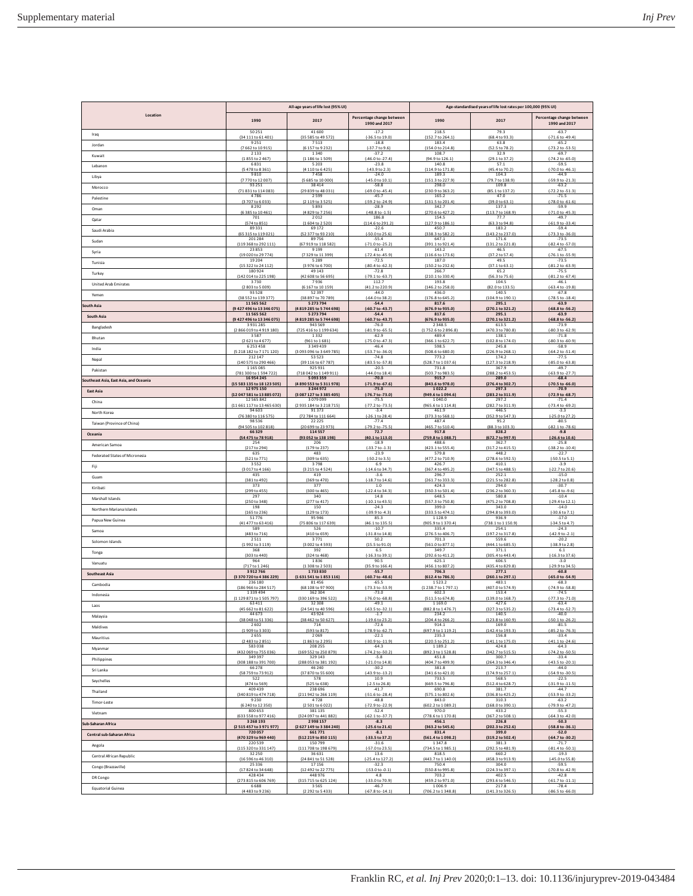|                                        | All-age years of life lost (95% UI)                        |                                                        |                                                        | Age-standardised years of life lost rates per 100,000 (95% UI) |                                               |                                                           |  |
|----------------------------------------|------------------------------------------------------------|--------------------------------------------------------|--------------------------------------------------------|----------------------------------------------------------------|-----------------------------------------------|-----------------------------------------------------------|--|
| Location                               | 1990                                                       | 2017                                                   | Percentage change between<br>1990 and 2017             | 1990                                                           | 2017                                          | Percentage change between<br>1990 and 2017                |  |
| Iraq                                   | 50 25 1                                                    | 41600                                                  | $-17.2$                                                | 218.5                                                          | 79.3                                          | $-63.7$                                                   |  |
|                                        | (34 111 to 61 401)                                         | (35 585 to 49 572)                                     | (-36.5 to 19.0)                                        | (152.7 to 264.1)                                               | (68.4 to 93.3)                                | $(-71.6 \text{ to } -49.4)$                               |  |
| Jordan                                 | 9251                                                       | 7513                                                   | $-18.8$                                                | 183.4                                                          | 63.8                                          | $-65.2$                                                   |  |
|                                        | 7662 to 10915)                                             | (6 157 to 9 232)                                       | $(-37.7 to 9.6)$                                       | (154.0 to 214.8)                                               | (52.5 to 78.2                                 | (-73.2 to -53.5)                                          |  |
| Kuwait                                 | 2133                                                       | 1340                                                   | $-37.2$                                                | 108.7                                                          | 32.9                                          | $-69.7$                                                   |  |
|                                        | (1855 to 2467)                                             | (1 186 to 1 509)                                       | $(-46.0 to -27.4)$                                     | (94.9 to 126.1)                                                | (29.1 to 37.2)                                | $(-74.2 \text{ to } -65.0)$                               |  |
| Lebanon                                | 6831                                                       | 5 2 0 3                                                | $-23.8$                                                | 140.8                                                          | 57.1                                          | $-59.5$                                                   |  |
|                                        | (5478 to 8361)                                             | (4110 to 6425)                                         | $(-43.9 to 2.3)$                                       | (114.9 to 171.8)                                               | (45.4 to 70.2)                                | $(-70.0 \text{ to } -46.1)$                               |  |
| Libya                                  | 9810                                                       | 7458                                                   | $-24.0$                                                | 189.3                                                          | 104.3                                         | $-44.9$                                                   |  |
|                                        | (7770 to 12007                                             | (5 685 to 10 000                                       | (-45.0 to 10.1)                                        | (151.3 to 227.9                                                | (79.7 to 138.9                                | (-59.9 to -21.3)                                          |  |
| Morocco                                | 93 25 1                                                    | 38414                                                  | $-58.8$                                                | 298.0                                                          | 109.8                                         | $-63.2$                                                   |  |
|                                        | (71 831 to 114 083)                                        | (29 839 to 48 031                                      | $(-69.0 to -45.4)$                                     | (230.9 to 363.2)                                               | (85.1 to 137.2)                               | (-72.2 to -51.3)                                          |  |
| Palestine                              | 4786                                                       | 2599                                                   | $-45.7$                                                | 165.2                                                          | 47.0                                          | $-71.5$                                                   |  |
|                                        | (3707 to 6033)                                             | (2 119 to 3 5 25)                                      | (-59.2 to -24.9)                                       | (131.5 to 201.4)                                               | (39.0 to 63.1)                                | (-78.0 to -61.6)                                          |  |
| Oman                                   | 8292                                                       | 5893                                                   | $-28.9$                                                | 342.7                                                          | 137.3                                         | $-59.9$                                                   |  |
|                                        | (6 385 to 10 461)                                          | (4 829 to 7 256)                                       | $(-48.8 \text{ to } -1.5)$                             | (270.6 to 427.2)                                               | (113.7 to 168.9)                              | $(-71.0 to -45.3)$                                        |  |
| Qatar                                  | 701                                                        | 2012                                                   | 186.8                                                  | 154.5                                                          | 77.7                                          | $-49.7$                                                   |  |
|                                        | (574 to 851)                                               | (1604 to 2520)                                         | (114.6 to 291.2)                                       | (127.9 to 186.1)                                               | (63.3 to 94.8)                                | $(-61.9 to -33.4)$                                        |  |
| Saudi Arabia                           | 89331                                                      | 69172                                                  | $-22.6$                                                | 450.7                                                          | 183.2                                         | $-59.4$                                                   |  |
|                                        | (65 315 to 119 021)                                        | (52 377 to 93 210)                                     | (-50.0 to 25.6)                                        | (338.3 to 582.2)                                               | (143.2 to 237.0)                              | $(-73.3$ to $-36.0$                                       |  |
| Sudan                                  | 201284                                                     | 89756                                                  | $-55.4$                                                | 647.1                                                          | 171.6                                         | $-73.5$                                                   |  |
|                                        | (119 368 to 292 111)                                       | (67 919 to 118 582)                                    | $[-71.0 \text{ to } -25.2]$                            | (391.1 to 921.4)                                               | (131.2 to 221.8)                              | (-82.4 to -57.0)                                          |  |
| Syria                                  | 23853                                                      | 9 1 9 9                                                | $-61.4$                                                | 143.2                                                          | 46.5                                          | $-67.5$                                                   |  |
|                                        | (19 020 to 29 774)                                         | (7329 to 11399                                         | $(-72.4 \text{ to } -45.9)$                            | (116.6 to 173.6                                                | (37.2 to 57.4                                 | (-76.1 to -55.9                                           |  |
| Tunisia                                | 19 20 4                                                    | 5 2 8 9                                                | $-72.5$                                                | 187.0                                                          | 49.5                                          | $-73.5$                                                   |  |
|                                        | (15 322 to 24 112)                                         | (3 976 to 6 700)                                       | (-80.4 to -62.3)                                       | (150.2 to 232.6)                                               | (37.1 to 63.1)                                | $(-81.2 \text{ to } -63.9)$                               |  |
| Turkey                                 | 180924                                                     | 49 143                                                 | $-72.8$                                                | 266.7                                                          | 65.2                                          | $-75.5$                                                   |  |
|                                        | (142 014 to 225 198)                                       | (42 608 to 56 695)                                     | $(-79.1 to -63.7)$                                     | (210.1 to 330.4)                                               | (56.3 to 75.6)                                | $(-81.2$ to $-67.4)$                                      |  |
| <b>United Arab Emirates</b>            | 3730                                                       | 7936                                                   | 112.7                                                  | 193.8                                                          | 104.5                                         | $-46.1$                                                   |  |
|                                        | (2803 to 5009)                                             | (6 167 to 10 159)                                      | (41.2 to 220.9)                                        | (146.2 to 258.0)                                               | (82.0 to 133.5)                               | $(-63.4 \text{ to } -19.8)$                               |  |
| Yemen                                  | 93 5 28                                                    | 52397                                                  | $-44.0$                                                | 436.0                                                          | 140.5                                         | $-67.8$                                                   |  |
|                                        | (38 552 to 139 377)                                        | (38 897 to 70 789)                                     | $(-64.0 to 38.2)$                                      | (176.8 to 645.2)                                               | (104.9 to 190.1)                              | $(-78.5 \text{ to } -18.4)$                               |  |
| South Asia                             | 11 565 562                                                 | 5 273 794                                              | $-54.4$                                                | 817.6                                                          | 295.1                                         | $-63.9$                                                   |  |
|                                        | (9 427 496 to 13 346 075)                                  | (4 819 285 to 5 744 698)                               | (-60.7 to -43.7)                                       | (676.9 to 935.0)                                               | (270.1 to 321.2)                              | $(-68.8 \text{ to } -56.2)$                               |  |
| South Asia                             | 11 565 562                                                 | 5 273 794                                              | $-54.4$                                                | 817.6                                                          | 295.1                                         | $-63.9$                                                   |  |
|                                        | (9 427 496 to 13 346 075)                                  | (4 819 285 to 5 744 698)                               | (-60.7 to -43.7)                                       | (676.9 to 935.0)                                               | (270.1 to 321.2)                              | $(-68.8 \text{ to } -56.2)$                               |  |
| Bangladesh                             | 3931285                                                    | 943 569                                                | $-76.0$                                                | 2348.5                                                         | 613.5                                         | $-73.9$                                                   |  |
|                                        | (2866019 to 4919180)                                       | (725 416 to 1 199 634)                                 | $(-81.9 to -65.5)$                                     | (1752.6 to 2896.8)                                             | (470.3 to 780.8)                              | (-80.3 to -62.9)                                          |  |
| Bhutan                                 | 3587                                                       | 1332                                                   | $-62.9$                                                | 489.4                                                          | 138.1                                         | $-71.8$                                                   |  |
|                                        | (2621 to 4677)                                             | (961 to 1 681)                                         | $(-75.0 \text{ to } -47.3)$                            | (366.1 to 622.7)                                               | (102.8 to 174.0)                              | (-80.3 to -60.9)                                          |  |
| India                                  | 6253458                                                    | 3 3 4 9 4 3 9                                          | $-46.4$                                                | 598.5                                                          | 245.8                                         | $-58.9$                                                   |  |
|                                        | (5 2 18 18 2 to 7 17 1 1 20)                               | (3 093 096 to 3 649 785)                               | $(-53.7 to -36.0)$                                     | (508.6 to 680.0)                                               | (226.9 to 268.1)                              | (-64.2 to -51.4)                                          |  |
| Nepal                                  | 212147                                                     | 53 5 23                                                | $-74.8$                                                | 773.2                                                          | 174.2                                         | $-77.5$                                                   |  |
|                                        | (140 575 to 290 466)                                       | (39 116 to 67 787)                                     | (-83.5 to -57.8)                                       | (528.7 to 1037.6)                                              | (127.3 to 218.9)                              | (-85.0 to -63.8)                                          |  |
| Pakistan                               | 1165085                                                    | 925 931                                                | $-20.5$                                                | 731.8                                                          | 367.9                                         | $-49.7$                                                   |  |
|                                        | (781 300 to 1594 722)                                      | (718 042 to 1 149 911)                                 | (-44.0 to 18.4)                                        | (503.7 to 983.5)                                               | (288.2 to 453.5)                              | (-63.9 to -27.7)                                          |  |
|                                        | 16 954 245                                                 | 5093359                                                | $-70.0$                                                | 915.7                                                          | 289.0                                         | $-68.4$                                                   |  |
| ioutheast Asia, East Asia, and Oceania | (15 583 135 to 18 123 505)                                 | [4890553 to 5311978]                                   | $(-71.9 to -67.6)$                                     | (843.6 to 978.0)                                               | (276.4 to 302.7                               | $(-70.5 \text{ to } -66.0)$                               |  |
| <b>East Asia</b>                       | 12 975 150<br>(12 047 581 to 13 885 072)<br>12 5 6 5 8 4 2 | 3 244 972<br>(3 087 127 to 3 385 405)<br>3079099       | $-75.0$<br>(-76.7 to -73.0)                            | 1022.2<br>(949.6 to 1 094.6)<br>1040.0                         | 297.3<br>(283.2 to 311.9<br>297.2             | $-70.9$<br>(-72.9 to -68.7                                |  |
| China                                  | (11661117 to 13 465 630)<br>94 603                         | (2935 184 to 3218 715)<br>91373                        | $-75.5$<br>(-77.2 to -73.5)<br>$-3.4$                  | (965.6 to 1 114.8)<br>461.9                                    | (282.7 to 311.9)<br>446.5                     | $-71.4$<br>$1-73.4$ to -69.2<br>$-3.3$                    |  |
| North Korea                            | (76 380 to 116 575)                                        | (72 784 to 111 664)                                    | $(-26.1 to 28.4)$                                      | (373.3 to 568.1)                                               | (352.9 to 547.3)                              | (-25.0 to 27.2)                                           |  |
|                                        | 98 5 3 6                                                   | 22 2 2 5                                               | $-77.4$                                                | 487.4                                                          | 95.2                                          | $-80.5$                                                   |  |
| Taiwan (Province of China)             | (94 505 to 102 818)                                        | (20 699 to 23 973)                                     | $(-79.2 \text{ to } -75.5)$                            | (465.7 to 510.4)                                               | (88.3 to 103.3)                               | $(-82.1 to -78.6)$                                        |  |
|                                        | 66 329                                                     | 114 557                                                | 72.7                                                   | 917.8                                                          | 828.2                                         | $-9.8$                                                    |  |
| Oceania                                | (54 475 to 78 918)                                         | (93 052 to 138 198)                                    | (40.1 to 113.0)                                        | (759.8 to 1088.7)                                              | (672.7 to 997.9)                              | (-26.6 to 10.6)                                           |  |
|                                        | 254                                                        | 206                                                    | $-18.9$                                                | 488.6                                                          | 362.7                                         | $-25.8$                                                   |  |
| American Samoa                         | (217 to 294)                                               | (179 to 237)                                           | $[-33.7$ to $-1.3]$                                    | (423.1 to 555.4)                                               | (317.2 to 415.5)                              | $(-38.2 \text{ to } -10.4)$                               |  |
|                                        | 635                                                        | 483                                                    | $-23.9$                                                | 579.8                                                          | 448.2                                         | $-22.7$                                                   |  |
| Federated States of Micronesia         | (521 to 771)                                               | (309 to 635)                                           | $(-50.2 \text{ to } 3.5)$                              | (477.2 to 710.9)                                               | (278.6 to 592.5)                              | $(-50.5 \text{ to } 5.1)$                                 |  |
|                                        | 3552                                                       | 3798                                                   | 6.9                                                    | 426.7                                                          | 410.1                                         | $-3.9$                                                    |  |
| Fiji                                   | (3017 to 4166)                                             | (3 215 to 4 5 24)                                      | $(-14.6 \text{ to } 34.7)$                             | (367.4 to 495.2)                                               | (347.5 to 488.5)                              | (-22.7 to 20.6)                                           |  |
|                                        | 435                                                        | 419                                                    | $-3.6$                                                 | 296.7                                                          | 252.1                                         | $-15.0$                                                   |  |
| Guam                                   | (381 to 492)                                               | (369 to 470)                                           | $(-18.7 \text{ to } 14.6)$                             | (261.7 to 333.3)                                               | (221.5 to 282.8)                              | $(-28.2 \text{ to } 0.8)$                                 |  |
|                                        | 373                                                        | 377                                                    | 1.0                                                    | 424.3                                                          | 294.0                                         | $-30.7$                                                   |  |
| Kiribati                               | (299 to 455)                                               | (300 to 465)                                           | $(-22.4 \text{ to } 34.3)$                             | (350.3 to 501.4)                                               | (236.2 to 360.3)                              | $(-45.8 to -9.6)$                                         |  |
| Marshall Islands                       | 297                                                        | 340                                                    | 14.8                                                   | 648.5                                                          | 580.8                                         | $-10.4$                                                   |  |
| Northern Mariana Islands               | (250 to 348)                                               | (277 to 417)                                           | (-10.1 to 43.5)                                        | (557.3 to 750.8)                                               | (475.2 to 708.8)                              | (-29.4 to 12.1                                            |  |
|                                        | 198                                                        | 150                                                    | $-24.3$                                                | 399.0                                                          | 343.0                                         | $-14.0$                                                   |  |
| Papua New Guinea                       | (165 to 236)                                               | (129 to 173)                                           | $(-39.9 to -4.3)$                                      | (333.5 to 474.1)                                               | (294.8 to 393.0)                              | (-30.6 to 7.1)                                            |  |
|                                        | 51776                                                      | 95946                                                  | 85.3                                                   | 1128.9                                                         | 936.9                                         | $-17.0$                                                   |  |
| Samoa                                  | (41 477 to 63 416)                                         | (75 806 to 117 639)                                    | (46.1 to 135.5)                                        | (905.9 to 1 370.4)                                             | (738.1 to 1 150.9)                            | $(-34.5 \text{ to } 4.7)$                                 |  |
|                                        | 589                                                        | 526                                                    | $-10.7$                                                | 335.4                                                          | 254.1                                         | $-24.3$                                                   |  |
| Solomon Islands                        | (483 to 716)                                               | (410 to 659)                                           | $(-31.8 \text{ to } 14.8)$                             | (276.5 to 406.7)                                               | (197.2 to 317.8)                              | $(-42.9 to -2.1)$                                         |  |
|                                        | 2511                                                       | 3771                                                   | 50.2                                                   | 701.3                                                          | 559.6                                         | $-20.2$                                                   |  |
| Tonga                                  | (1992 to 3 119)                                            | (3 002 to 4 593)                                       | (15.5 to 91.0)                                         | (561.0 to 877.1)                                               | (444.1 to 685.5)                              | (-38.9 to 2.8)                                            |  |
|                                        | 368                                                        | 392                                                    | 6.5                                                    | 349.7                                                          | 371.1                                         | 6.1                                                       |  |
| Vanuatu                                | (303 to 440)                                               | (324 to 468)                                           | (-16.3 to 39.1)                                        | (292.6 to 411.2)                                               | (305.4 to 443.4)                              | (-16.3 to 37.6)                                           |  |
|                                        | 964                                                        | 1836                                                   | 90.5                                                   | 625.1                                                          | 606.5                                         | $-3.0$                                                    |  |
| <b>Southeast Asia</b>                  | (717 to 1 246)                                             | (1 308 to 2 503)                                       | (35.9 to 166.4)                                        | (456.1 to 807.2)                                               | (435.4 to 829.8)                              | (-29.9 to 34.5)                                           |  |
|                                        | 3912766                                                    | 1733830                                                | $-55.7$                                                | 706.3                                                          | 277.1                                         | $-60.8$                                                   |  |
| Cambodia                               | (3370720 to 4386 229)                                      | (1631541 to 1853116)                                   | (-60.7 to -48.6)                                       | (612.4 to 786.3)                                               | (260.1 to 297.1)                              | (-65.0 to -54.9)                                          |  |
|                                        | 236 180                                                    | 81456                                                  | $-65.5$                                                | 1523.2                                                         | 483.1                                         | $-68.3$                                                   |  |
| Indonesia                              | (186 966 to 284 517                                        | (68 108 to 97 900)                                     | (-73.3 to -53.9                                        | (1238.7 to 1797.1                                              | (407.0 to 574.9)                              | (-74.9 to -58.8                                           |  |
|                                        | 1339494                                                    | 362 304                                                | $-73.0$                                                | 602.3                                                          | 153.4                                         | $-74.5$                                                   |  |
| Laos                                   | (1 129 871 to 1 505 797)                                   | (330 169 to 396 522)                                   | $(-76.0 to -68.8)$                                     | (511.5 to 674.8)                                               | (139.0 to 168.7)                              | $(-77.3 to -71.0)$                                        |  |
|                                        | 63 4 11                                                    | 32 30 8                                                | $-49.1$                                                | 1169.0                                                         | 427.6                                         | $-63.4$                                                   |  |
| Malaysia                               | 45 662 to 81 622                                           | (24 541 to 40 596                                      | .5 to -32.1                                            | (882.8 to 1 476                                                | 327.3 to 535                                  | (-73.4 to -52.                                            |  |
|                                        | 44 673                                                     | 43924                                                  | $-1.7$                                                 | 234.2                                                          | 140.5                                         | $-40.0$                                                   |  |
| Maldives                               | (38 048 to 51 336)                                         | (38 462 to 50 627)                                     | $(-19.6 \text{ to } 23.2)$                             | (204.4 to 266.2)                                               | (123.8 to 160.9)                              | $(-50.1 to -26.2)$                                        |  |
|                                        | 2602                                                       | 714                                                    | $-72.6$                                                | 914.1                                                          | 169.0                                         | $-81.5$                                                   |  |
| Mauritius                              | (1909 to 3 303)                                            | (593 to 817)                                           | (-78.9 to -62.7)                                       | (697.9 to 1 119.2)                                             | (142.4 to 193.3)                              | $(-85.2 to -76.3)$                                        |  |
|                                        | 2655                                                       | 2069                                                   | $-22.1$                                                | 235.3                                                          | 156.8                                         | $-33.4$                                                   |  |
| Myanmar                                | (2483 to 2851)                                             | (1863 to 2295)                                         | $(-30.9 to -11.9)$                                     | (220.5 to 251.2)                                               | (141.1 to 175.0)                              | $(-41.1 to -24.6)$                                        |  |
|                                        | 583038                                                     | 208 255                                                | $-64.3$                                                | 1189.2                                                         | 424.8                                         | $-64.3$                                                   |  |
| Philippines                            | (432 069 to 755 036)                                       | (169 552 to 250 879)                                   | $(-74.2 \text{ to } -50.2)$                            | (892.3 to 1 528.8)                                             | (342.7 to 515.5)                              | $(-74.2 \text{ to } -50.5)$                               |  |
|                                        | 349397                                                     | 329 143                                                | $-5.8$                                                 | 451.8                                                          | 300.7                                         | $-33.4$                                                   |  |
| Sri Lanka                              | (308 188 to 391 700)                                       | (288 053 to 381 192)                                   | $(-21.0 \text{ to } 14.8)$                             | (404.7 to 499.9)                                               | (264.3 to 346.4)                              | $(-43.5 to -20.1)$                                        |  |
|                                        | 66 278                                                     | 46 240                                                 | $-30.2$                                                | 381.8                                                          | 213.7                                         | $-44.0$                                                   |  |
| Seychelles                             | (58 759 to 73 912)                                         | (37 870 to 55 600)                                     | $(-43.9 to -13.2)$                                     | (341.6 to 421.0)                                               | (174.9 to 257.1)                              | $(-54.9 to -30.5)$                                        |  |
|                                        | 522                                                        | 578                                                    | 10.9                                                   | 733.5                                                          | 568.5                                         | $-22.5$                                                   |  |
| Thailand                               | (474 to 569)                                               | (525 to 638)                                           | $(-2.5 to 26.8)$                                       | (669.5 to 796.8)                                               | (512.4 to 628.7)                              | $(-31.9 to -11.5)$                                        |  |
|                                        | 409 439                                                    | 238 696                                                | $-41.7$                                                | 690.8                                                          | 381.7                                         | $-44.7$                                                   |  |
| Timor-Leste                            | (340 819 to 474 718)                                       | (211 942 to 266 119)                                   | $(-51.6 \text{ to } -28.4)$                            | (575.1 to 802.6)                                               | (336.8 to 425.2)                              | (-53.9 to -33.2)                                          |  |
|                                        | 9230                                                       | 4728                                                   | $-48.8$                                                | 843.0                                                          | 310.3                                         | $-63.2$                                                   |  |
| Vietnam                                | (6 240 to 12 350)                                          | (2 501 to 6 022)                                       | (-72.9 to -22.9)                                       | (602.2 to 1 089.2)                                             | (168.0 to 390.1)                              | (-79.9 to -47.2)                                          |  |
|                                        | 800 653                                                    | 381135                                                 | $-52.4$                                                | 970.0                                                          | 433.2                                         | $-55.3$                                                   |  |
| iub-Saharan Africa                     | (633 558 to 977 416)<br>3268193<br>(2515457 to 3971977)    | (324 097 to 441 882)<br>2998157                        | $(-62.1 to -37.7)$<br>$-8.3$                           | (778.6 to 1 170.8)<br>456.1                                    | (367.2 to 508.1)<br>226.8                     | $(-64.3 to -42.0)$<br>$-50.3$                             |  |
| Central sub-Saharan Africa             | 720057                                                     | (2627 149 to 3384 240)<br>661771                       | (-25.6 to 21.6)<br>$-8.1$                              | (363.2 to 545.6)<br>831.4                                      | (202.3 to 252.6)<br>399.0                     | (-58.8 to -36.1)<br>$-52.0$                               |  |
| Angola                                 | (470 329 to 969 440)<br>220539<br>(115 320 to 331 147)     | (512 219 to 850 115)<br>150799<br>(111 708 to 198 679) | (-33.5 to 37.2)<br>$-31.6$                             | (561.4 to 1 098.2)<br>1347.8<br>(734.5 to 1985.1)              | (319.2 to 502.4)<br>381.3<br>(292.5 to 481.9) | (-64.7 to -30.2)<br>$-71.7$                               |  |
| Central African Republic               | 32 2 50<br>(16 596 to 46 310)                              | 36631<br>(24 841 to 51 528)                            | (-57.0 to 23.5)<br>13.6<br>$(-25.4 \text{ to } 127.2)$ | 818.5<br>(443.7 to 1 140.0)                                    | 660.2<br>(458.3 to 913.9)                     | $(-81.4 \text{ to } -50.1)$<br>$-19.3$<br>(-45.0 to 55.8) |  |
| Congo (Brazzaville)                    | 25 3 3 6                                                   | 17156                                                  | $-32.3$                                                | 750.4                                                          | 304.0                                         | $-59.5$                                                   |  |
|                                        | (17824 to 34648)                                           | (12 492 to 22 775)                                     | $(-53.0 to -0.1)$                                      | (550.8 to 995.8)                                               | (224.3 to 397.1)                              | (-70.8 to -42.9)                                          |  |
| DR Congo                               | 428434                                                     | 448 976                                                | 4.8                                                    | 703.2                                                          | 402.5                                         | $-42.8$                                                   |  |
|                                        | (273 815 to 606 769)                                       | (315 715 to 625 124)                                   | $(-33.0 to 70.9)$                                      | (459.2 to 971.0)                                               | (293.6 to 546.5)                              | $(-61.7 to -11.1)$                                        |  |
| <b>Equatorial Guinea</b>               | 6688                                                       | 3565                                                   | $-46.7$                                                | 1006.9                                                         | 217.8                                         | $-78.4$                                                   |  |
|                                        | (4483 to 9236)                                             | (2 292 to 5 433)                                       | $(-67.8 \text{ to } -14.1)$                            | (706.2 to 1 348.8)                                             | (141.3 to 326.5)                              | $(-86.5 to -66.0)$                                        |  |